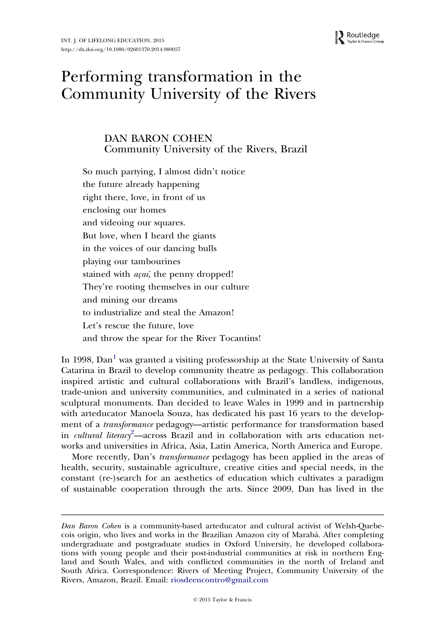# Performing transformation in the Community University of the Rivers

# DAN BARON COHEN Community University of the Rivers, Brazil

So much partying, I almost didn't notice the future already happening right there, love, in front of us enclosing our homes and videoing our squares. But love, when I heard the giants in the voices of our dancing bulls playing our tambourines stained with  $a\zeta$  the penny dropped! They're rooting themselves in our culture and mining our dreams to industrialize and steal the Amazon! Let's rescue the future, love and throw the spear for the River Tocantins!

In [1](#page-20-0)998,  $Dan<sup>1</sup>$  was granted a visiting professorship at the State University of Santa Catarina in Brazil to develop community theatre as pedagogy. This collaboration inspired artistic and cultural collaborations with Brazil's landless, indigenous, trade-union and university communities, and culminated in a series of national sculptural monuments. Dan decided to leave Wales in 1999 and in partnership with arteducator Manoela Souza, has dedicated his past 16 years to the development of a transformance pedagogy—artistic performance for transformation based in *cultural literacy*<sup>[2](#page-20-0)</sup>—across Brazil and in collaboration with arts education networks and universities in Africa, Asia, Latin America, North America and Europe.

More recently, Dan's *transformance* pedagogy has been applied in the areas of health, security, sustainable agriculture, creative cities and special needs, in the constant (re-)search for an aesthetics of education which cultivates a paradigm of sustainable cooperation through the arts. Since 2009, Dan has lived in the

Dan Baron Cohen is a community-based arteducator and cultural activist of Welsh-Quebecois origin, who lives and works in the Brazilian Amazon city of Marabá. After completing undergraduate and postgraduate studies in Oxford University, he developed collaborations with young people and their post-industrial communities at risk in northern England and South Wales, and with conflicted communities in the north of Ireland and South Africa. Correspondence: Rivers of Meeting Project, Community University of the Rivers, Amazon, Brazil. Email: [riosdeencontro@gmail.com](mailto:riosdeencontro@gmail.com)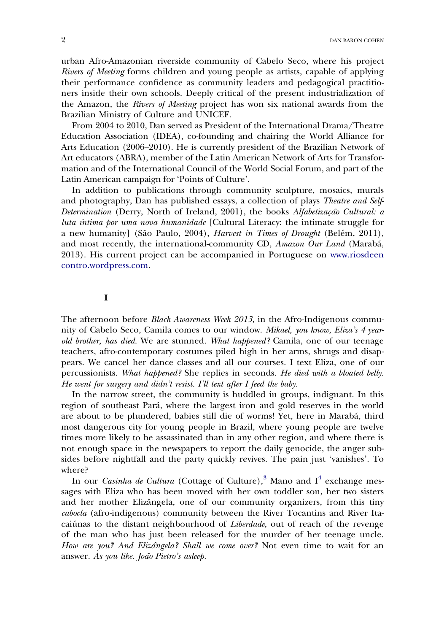urban Afro-Amazonian riverside community of Cabelo Seco, where his project Rivers of Meeting forms children and young people as artists, capable of applying their performance confidence as community leaders and pedagogical practitioners inside their own schools. Deeply critical of the present industrialization of the Amazon, the Rivers of Meeting project has won six national awards from the Brazilian Ministry of Culture and UNICEF.

From 2004 to 2010, Dan served as President of the International Drama/Theatre Education Association (IDEA), co-founding and chairing the World Alliance for Arts Education (2006–2010). He is currently president of the Brazilian Network of Art educators (ABRA), member of the Latin American Network of Arts for Transformation and of the International Council of the World Social Forum, and part of the Latin American campaign for 'Points of Culture'.

In addition to publications through community sculpture, mosaics, murals and photography, Dan has published essays, a collection of plays Theatre and Self-Determination (Derry, North of Ireland, 2001), the books Alfabetização Cultural: a luta intima por uma nova humanidade [Cultural Literacy: the intimate struggle for a new humanity] (São Paulo, 2004), Harvest in Times of Drought (Belém, 2011), and most recently, the international-community CD, Amazon Our Land (Marabá, 2013). His current project can be accompanied in Portuguese on [www.riosdeen](http://www.riosdeencontro.wordpress.com) [contro.wordpress.com.](http://www.riosdeencontro.wordpress.com)

I

The afternoon before Black Awareness Week 2013, in the Afro-Indigenous community of Cabelo Seco, Camila comes to our window. Mikael, you know, Eliza's 4 yearold brother, has died. We are stunned. What happened? Camila, one of our teenage teachers, afro-contemporary costumes piled high in her arms, shrugs and disappears. We cancel her dance classes and all our courses. I text Eliza, one of our percussionists. What happened? She replies in seconds. He died with a bloated belly. He went for surgery and didn't resist. I'll text after I feed the baby.

In the narrow street, the community is huddled in groups, indignant. In this region of southeast Para´, where the largest iron and gold reserves in the world are about to be plundered, babies still die of worms! Yet, here in Maraba´, third most dangerous city for young people in Brazil, where young people are twelve times more likely to be assassinated than in any other region, and where there is not enough space in the newspapers to report the daily genocide, the anger subsides before nightfall and the party quickly revives. The pain just 'vanishes'. To where?

In our *Casinha de Cultura* (Cottage of Culture),<sup>[3](#page-21-0)</sup> Mano and  $I^4$  $I^4$  exchange messages with Eliza who has been moved with her own toddler son, her two sisters and her mother Elizangela, one of our community organizers, from this tiny cabocla (afro-indigenous) community between the River Tocantins and River Itacaiúnas to the distant neighbourhood of Liberdade, out of reach of the revenge of the man who has just been released for the murder of her teenage uncle. How are you? And Elizangela? Shall we come over? Not even time to wait for an answer. As you like. João Pietro's asleep.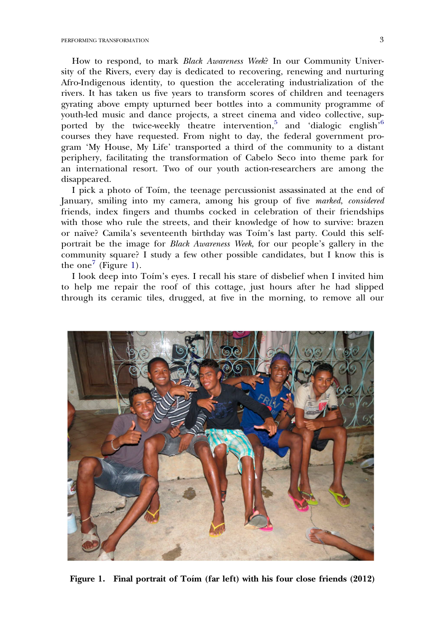How to respond, to mark Black Awareness Week? In our Community University of the Rivers, every day is dedicated to recovering, renewing and nurturing Afro-Indigenous identity, to question the accelerating industrialization of the rivers. It has taken us five years to transform scores of children and teenagers gyrating above empty upturned beer bottles into a community programme of youth-led music and dance projects, a street cinema and video collective, sup-ported by the twice-weekly theatre intervention,<sup>[5](#page-21-0)</sup> and 'dialogic english'<sup>[6](#page-21-0)</sup> courses they have requested. From night to day, the federal government program 'My House, My Life' transported a third of the community to a distant periphery, facilitating the transformation of Cabelo Seco into theme park for an international resort. Two of our youth action-researchers are among the disappeared.

I pick a photo of Toı´m, the teenage percussionist assassinated at the end of January, smiling into my camera, among his group of five marked, considered friends, index fingers and thumbs cocked in celebration of their friendships with those who rule the streets, and their knowledge of how to survive: brazen or naïve? Camila's seventeenth birthday was Toim's last party. Could this selfportrait be the image for Black Awareness Week, for our people's gallery in the community square? I study a few other possible candidates, but I know this is the one<sup>[7](#page-21-0)</sup> (Figure 1).

I look deep into Toim's eyes. I recall his stare of disbelief when I invited him to help me repair the roof of this cottage, just hours after he had slipped through its ceramic tiles, drugged, at five in the morning, to remove all our



Figure 1. Final portrait of Toim (far left) with his four close friends (2012)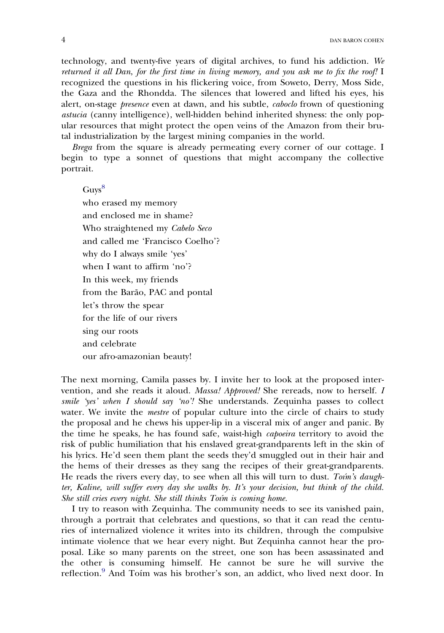technology, and twenty-five years of digital archives, to fund his addiction. We returned it all Dan, for the first time in living memory, and you ask me to fix the roof! I recognized the questions in his flickering voice, from Soweto, Derry, Moss Side, the Gaza and the Rhondda. The silences that lowered and lifted his eyes, his alert, on-stage presence even at dawn, and his subtle, caboclo frown of questioning astucia (canny intelligence), well-hidden behind inherited shyness: the only popular resources that might protect the open veins of the Amazon from their brutal industrialization by the largest mining companies in the world.

Brega from the square is already permeating every corner of our cottage. I begin to type a sonnet of questions that might accompany the collective portrait.

 $Guys<sup>8</sup>$  $Guys<sup>8</sup>$  $Guys<sup>8</sup>$ 

who erased my memory and enclosed me in shame? Who straightened my Cabelo Seco and called me 'Francisco Coelho'? why do I always smile 'yes' when I want to affirm 'no'? In this week, my friends from the Barão, PAC and pontal let's throw the spear for the life of our rivers sing our roots and celebrate our afro-amazonian beauty!

The next morning, Camila passes by. I invite her to look at the proposed intervention, and she reads it aloud. Massa! Approved! She rereads, now to herself. I smile 'yes' when I should say 'no'! She understands. Zequinha passes to collect water. We invite the *mestre* of popular culture into the circle of chairs to study the proposal and he chews his upper-lip in a visceral mix of anger and panic. By the time he speaks, he has found safe, waist-high capoeira territory to avoid the risk of public humiliation that his enslaved great-grandparents left in the skin of his lyrics. He'd seen them plant the seeds they'd smuggled out in their hair and the hems of their dresses as they sang the recipes of their great-grandparents. He reads the rivers every day, to see when all this will turn to dust. Toim's daughter, Kaline, will suffer every day she walks by. It's your decision, but think of the child. She still cries every night. She still thinks Toim is coming home.

I try to reason with Zequinha. The community needs to see its vanished pain, through a portrait that celebrates and questions, so that it can read the centuries of internalized violence it writes into its children, through the compulsive intimate violence that we hear every night. But Zequinha cannot hear the proposal. Like so many parents on the street, one son has been assassinated and the other is consuming himself. He cannot be sure he will survive the reflection.<sup>[9](#page-22-0)</sup> And Toim was his brother's son, an addict, who lived next door. In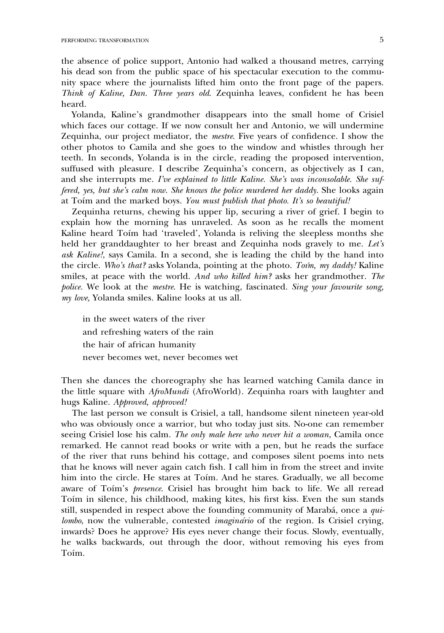the absence of police support, Antonio had walked a thousand metres, carrying his dead son from the public space of his spectacular execution to the community space where the journalists lifted him onto the front page of the papers. Think of Kaline, Dan. Three years old. Zequinha leaves, confident he has been heard.

Yolanda, Kaline's grandmother disappears into the small home of Crisiel which faces our cottage. If we now consult her and Antonio, we will undermine Zequinha, our project mediator, the mestre. Five years of confidence. I show the other photos to Camila and she goes to the window and whistles through her teeth. In seconds, Yolanda is in the circle, reading the proposed intervention, suffused with pleasure. I describe Zequinha's concern, as objectively as I can, and she interrupts me. I've explained to little Kaline. She's was inconsolable. She suffered, yes, but she's calm now. She knows the police murdered her daddy. She looks again at Toim and the marked boys. You must publish that photo. It's so beautiful!

Zequinha returns, chewing his upper lip, securing a river of grief. I begin to explain how the morning has unraveled. As soon as he recalls the moment Kaline heard Toim had 'traveled', Yolanda is reliving the sleepless months she held her granddaughter to her breast and Zequinha nods gravely to me. Let's ask Kaline!, says Camila. In a second, she is leading the child by the hand into the circle. Who's that? asks Yolanda, pointing at the photo. Toim, my daddy! Kaline smiles, at peace with the world. And who killed him? asks her grandmother. The police. We look at the mestre. He is watching, fascinated. Sing your favourite song, my love, Yolanda smiles. Kaline looks at us all.

in the sweet waters of the river and refreshing waters of the rain the hair of african humanity never becomes wet, never becomes wet

Then she dances the choreography she has learned watching Camila dance in the little square with AfroMundi (AfroWorld). Zequinha roars with laughter and hugs Kaline. Approved, approved!

The last person we consult is Crisiel, a tall, handsome silent nineteen year-old who was obviously once a warrior, but who today just sits. No-one can remember seeing Crisiel lose his calm. The only male here who never hit a woman, Camila once remarked. He cannot read books or write with a pen, but he reads the surface of the river that runs behind his cottage, and composes silent poems into nets that he knows will never again catch fish. I call him in from the street and invite him into the circle. He stares at Toim. And he stares. Gradually, we all become aware of Toim's *presence*. Crisiel has brought him back to life. We all reread Toim in silence, his childhood, making kites, his first kiss. Even the sun stands still, suspended in respect above the founding community of Marabá, once a  $qui$ lombo, now the vulnerable, contested *imagina*<sup>rio</sup> of the region. Is Crisiel crying, inwards? Does he approve? His eyes never change their focus. Slowly, eventually, he walks backwards, out through the door, without removing his eyes from Toim.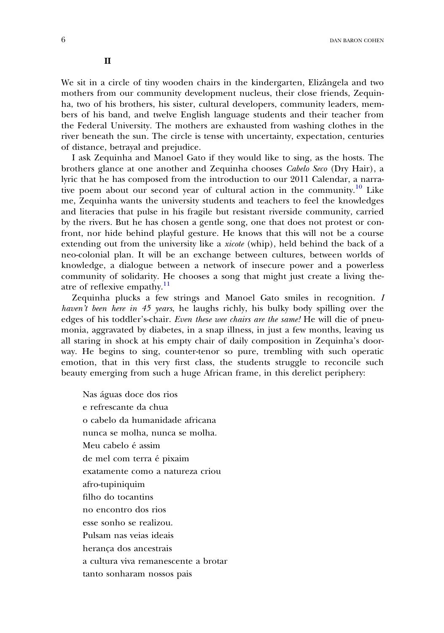We sit in a circle of tiny wooden chairs in the kindergarten, Elizangela and two mothers from our community development nucleus, their close friends, Zequinha, two of his brothers, his sister, cultural developers, community leaders, members of his band, and twelve English language students and their teacher from the Federal University. The mothers are exhausted from washing clothes in the river beneath the sun. The circle is tense with uncertainty, expectation, centuries of distance, betrayal and prejudice.

I ask Zequinha and Manoel Gato if they would like to sing, as the hosts. The brothers glance at one another and Zequinha chooses Cabelo Seco (Dry Hair), a lyric that he has composed from the introduction to our 2011 Calendar, a narrative poem about our second year of cultural action in the community.[10](#page-22-0) Like me, Zequinha wants the university students and teachers to feel the knowledges and literacies that pulse in his fragile but resistant riverside community, carried by the rivers. But he has chosen a gentle song, one that does not protest or confront, nor hide behind playful gesture. He knows that this will not be a course extending out from the university like a *xicote* (whip), held behind the back of a neo-colonial plan. It will be an exchange between cultures, between worlds of knowledge, a dialogue between a network of insecure power and a powerless community of solidarity. He chooses a song that might just create a living theatre of reflexive empathy. $11$ 

Zequinha plucks a few strings and Manoel Gato smiles in recognition. I haven't been here in 45 years, he laughs richly, his bulky body spilling over the edges of his toddler's-chair. Even these wee chairs are the same! He will die of pneumonia, aggravated by diabetes, in a snap illness, in just a few months, leaving us all staring in shock at his empty chair of daily composition in Zequinha's doorway. He begins to sing, counter-tenor so pure, trembling with such operatic emotion, that in this very first class, the students struggle to reconcile such beauty emerging from such a huge African frame, in this derelict periphery:

Nas águas doce dos rios e refrescante da chua o cabelo da humanidade africana nunca se molha, nunca se molha. Meu cabelo é assim de mel com terra é pixaim exatamente como a natureza criou afro-tupiniquim filho do tocantins no encontro dos rios esse sonho se realizou. Pulsam nas veias ideais heranca dos ancestrais a cultura viva remanescente a brotar tanto sonharam nossos pais

II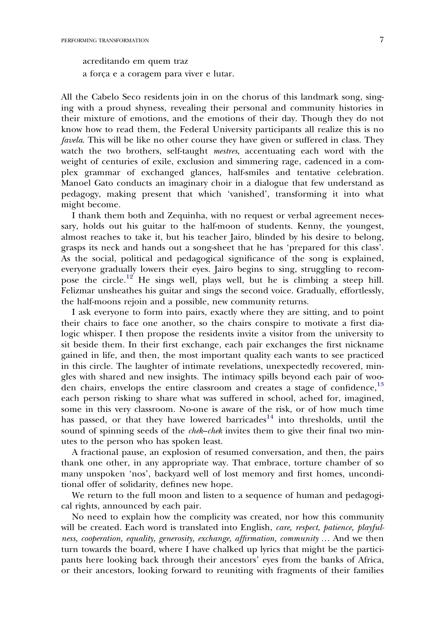acreditando em quem traz

a força e a coragem para viver e lutar.

All the Cabelo Seco residents join in on the chorus of this landmark song, singing with a proud shyness, revealing their personal and community histories in their mixture of emotions, and the emotions of their day. Though they do not know how to read them, the Federal University participants all realize this is no favela. This will be like no other course they have given or suffered in class. They watch the two brothers, self-taught *mestres*, accentuating each word with the weight of centuries of exile, exclusion and simmering rage, cadenced in a complex grammar of exchanged glances, half-smiles and tentative celebration. Manoel Gato conducts an imaginary choir in a dialogue that few understand as pedagogy, making present that which 'vanished', transforming it into what might become.

I thank them both and Zequinha, with no request or verbal agreement necessary, holds out his guitar to the half-moon of students. Kenny, the youngest, almost reaches to take it, but his teacher Jairo, blinded by his desire to belong, grasps its neck and hands out a song-sheet that he has 'prepared for this class'. As the social, political and pedagogical significance of the song is explained, everyone gradually lowers their eyes. Jairo begins to sing, struggling to recompose the circle.[12](#page-22-0) He sings well, plays well, but he is climbing a steep hill. Felizmar unsheathes his guitar and sings the second voice. Gradually, effortlessly, the half-moons rejoin and a possible, new community returns.

I ask everyone to form into pairs, exactly where they are sitting, and to point their chairs to face one another, so the chairs conspire to motivate a first dialogic whisper. I then propose the residents invite a visitor from the university to sit beside them. In their first exchange, each pair exchanges the first nickname gained in life, and then, the most important quality each wants to see practiced in this circle. The laughter of intimate revelations, unexpectedly recovered, mingles with shared and new insights. The intimacy spills beyond each pair of wooden chairs, envelops the entire classroom and creates a stage of confidence,  $13$ each person risking to share what was suffered in school, ached for, imagined, some in this very classroom. No-one is aware of the risk, or of how much time has passed, or that they have lowered barricades<sup>[14](#page-22-0)</sup> into thresholds, until the sound of spinning seeds of the *chek–chek* invites them to give their final two minutes to the person who has spoken least.

A fractional pause, an explosion of resumed conversation, and then, the pairs thank one other, in any appropriate way. That embrace, torture chamber of so many unspoken 'nos', backyard well of lost memory and first homes, unconditional offer of solidarity, defines new hope.

We return to the full moon and listen to a sequence of human and pedagogical rights, announced by each pair.

No need to explain how the complicity was created, nor how this community will be created. Each word is translated into English, care, respect, patience, playfulness, cooperation, equality, generosity, exchange, affirmation, community ... And we then turn towards the board, where I have chalked up lyrics that might be the participants here looking back through their ancestors' eyes from the banks of Africa, or their ancestors, looking forward to reuniting with fragments of their families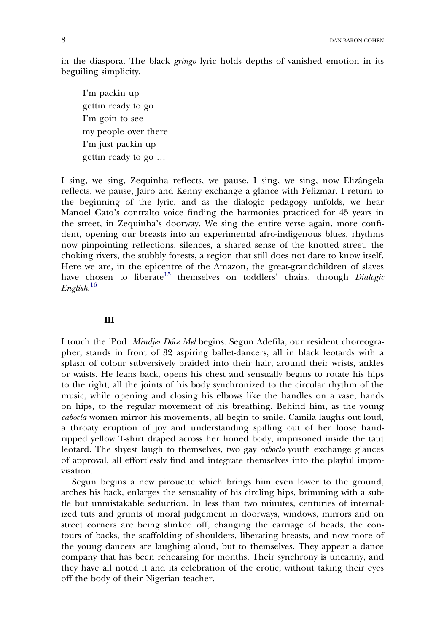in the diaspora. The black gringo lyric holds depths of vanished emotion in its beguiling simplicity.

I'm packin up gettin ready to go I'm goin to see my people over there I'm just packin up gettin ready to go …

I sing, we sing, Zequinha reflects, we pause. I sing, we sing, now Elizangela reflects, we pause, Jairo and Kenny exchange a glance with Felizmar. I return to the beginning of the lyric, and as the dialogic pedagogy unfolds, we hear Manoel Gato's contralto voice finding the harmonies practiced for 45 years in the street, in Zequinha's doorway. We sing the entire verse again, more confident, opening our breasts into an experimental afro-indigenous blues, rhythms now pinpointing reflections, silences, a shared sense of the knotted street, the choking rivers, the stubbly forests, a region that still does not dare to know itself. Here we are, in the epicentre of the Amazon, the great-grandchildren of slaves have chosen to liberate<sup>[15](#page-22-0)</sup> themselves on toddlers' chairs, through Dialogic English. [16](#page-22-0)

#### III

I touch the iPod. Mindjer Dôce Mel begins. Segun Adefila, our resident choreographer, stands in front of 32 aspiring ballet-dancers, all in black leotards with a splash of colour subversively braided into their hair, around their wrists, ankles or waists. He leans back, opens his chest and sensually begins to rotate his hips to the right, all the joints of his body synchronized to the circular rhythm of the music, while opening and closing his elbows like the handles on a vase, hands on hips, to the regular movement of his breathing. Behind him, as the young cabocla women mirror his movements, all begin to smile. Camila laughs out loud, a throaty eruption of joy and understanding spilling out of her loose handripped yellow T-shirt draped across her honed body, imprisoned inside the taut leotard. The shyest laugh to themselves, two gay caboclo youth exchange glances of approval, all effortlessly find and integrate themselves into the playful improvisation.

Segun begins a new pirouette which brings him even lower to the ground, arches his back, enlarges the sensuality of his circling hips, brimming with a subtle but unmistakable seduction. In less than two minutes, centuries of internalized tuts and grunts of moral judgement in doorways, windows, mirrors and on street corners are being slinked off, changing the carriage of heads, the contours of backs, the scaffolding of shoulders, liberating breasts, and now more of the young dancers are laughing aloud, but to themselves. They appear a dance company that has been rehearsing for months. Their synchrony is uncanny, and they have all noted it and its celebration of the erotic, without taking their eyes off the body of their Nigerian teacher.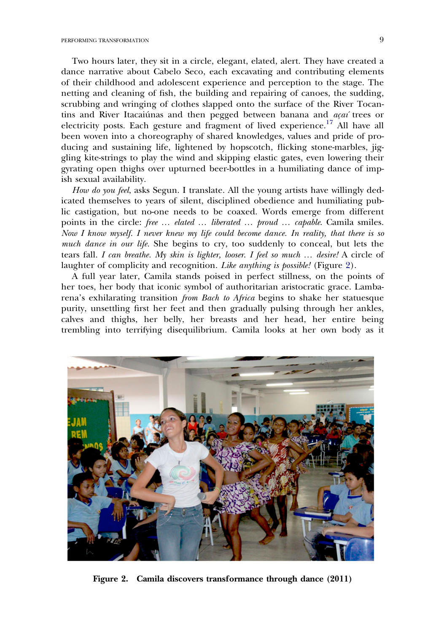Two hours later, they sit in a circle, elegant, elated, alert. They have created a dance narrative about Cabelo Seco, each excavating and contributing elements of their childhood and adolescent experience and perception to the stage. The netting and cleaning of fish, the building and repairing of canoes, the sudding, scrubbing and wringing of clothes slapped onto the surface of the River Tocantins and River Itacaiúnas and then pegged between banana and  $a\alpha a'$  trees or electricity posts. Each gesture and fragment of lived experience.<sup>[17](#page-22-0)</sup> All have all been woven into a choreography of shared knowledges, values and pride of producing and sustaining life, lightened by hopscotch, flicking stone-marbles, jiggling kite-strings to play the wind and skipping elastic gates, even lowering their gyrating open thighs over upturned beer-bottles in a humiliating dance of impish sexual availability.

How do you feel, asks Segun. I translate. All the young artists have willingly dedicated themselves to years of silent, disciplined obedience and humiliating public castigation, but no-one needs to be coaxed. Words emerge from different points in the circle: free ... elated ... liberated ... proud ... capable. Camila smiles. Now I know myself. I never knew my life could become dance. In reality, that there is so much dance in our life. She begins to cry, too suddenly to conceal, but lets the tears fall. I can breathe. My skin is lighter, looser. I feel so much … desire! A circle of laughter of complicity and recognition. Like anything is possible! (Figure 2).

A full year later, Camila stands poised in perfect stillness, on the points of her toes, her body that iconic symbol of authoritarian aristocratic grace. Lambarena's exhilarating transition from Bach to Africa begins to shake her statuesque purity, unsettling first her feet and then gradually pulsing through her ankles, calves and thighs, her belly, her breasts and her head, her entire being trembling into terrifying disequilibrium. Camila looks at her own body as it



Figure 2. Camila discovers transformance through dance (2011)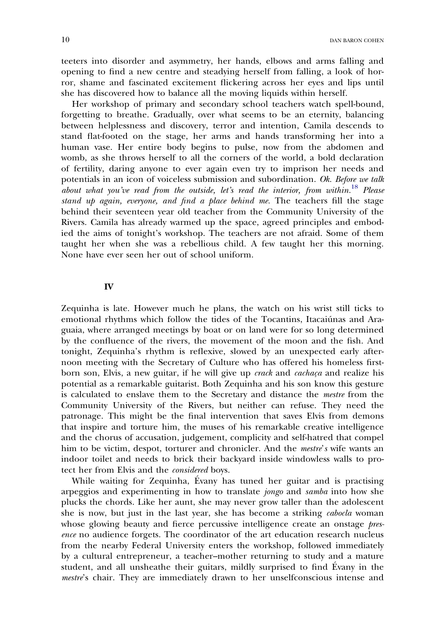teeters into disorder and asymmetry, her hands, elbows and arms falling and opening to find a new centre and steadying herself from falling, a look of horror, shame and fascinated excitement flickering across her eyes and lips until she has discovered how to balance all the moving liquids within herself.

Her workshop of primary and secondary school teachers watch spell-bound, forgetting to breathe. Gradually, over what seems to be an eternity, balancing between helplessness and discovery, terror and intention, Camila descends to stand flat-footed on the stage, her arms and hands transforming her into a human vase. Her entire body begins to pulse, now from the abdomen and womb, as she throws herself to all the corners of the world, a bold declaration of fertility, daring anyone to ever again even try to imprison her needs and potentials in an icon of voiceless submission and subordination. Ok. Before we talk about what you've read from the outside, let's read the interior, from within.<sup>[18](#page-23-0)</sup> Please stand up again, everyone, and find a place behind me. The teachers fill the stage behind their seventeen year old teacher from the Community University of the Rivers. Camila has already warmed up the space, agreed principles and embodied the aims of tonight's workshop. The teachers are not afraid. Some of them taught her when she was a rebellious child. A few taught her this morning. None have ever seen her out of school uniform.

#### IV

Zequinha is late. However much he plans, the watch on his wrist still ticks to emotional rhythms which follow the tides of the Tocantins, Itacaiúnas and Araguaia, where arranged meetings by boat or on land were for so long determined by the confluence of the rivers, the movement of the moon and the fish. And tonight, Zequinha's rhythm is reflexive, slowed by an unexpected early afternoon meeting with the Secretary of Culture who has offered his homeless firstborn son, Elvis, a new guitar, if he will give up *crack* and *cachaca* and realize his potential as a remarkable guitarist. Both Zequinha and his son know this gesture is calculated to enslave them to the Secretary and distance the mestre from the Community University of the Rivers, but neither can refuse. They need the patronage. This might be the final intervention that saves Elvis from demons that inspire and torture him, the muses of his remarkable creative intelligence and the chorus of accusation, judgement, complicity and self-hatred that compel him to be victim, despot, torturer and chronicler. And the mestre's wife wants an indoor toilet and needs to brick their backyard inside windowless walls to protect her from Elvis and the considered boys.

While waiting for Zequinha, Évany has tuned her guitar and is practising arpeggios and experimenting in how to translate jongo and samba into how she plucks the chords. Like her aunt, she may never grow taller than the adolescent she is now, but just in the last year, she has become a striking *cabocla* woman whose glowing beauty and fierce percussive intelligence create an onstage *pres*ence no audience forgets. The coordinator of the art education research nucleus from the nearby Federal University enters the workshop, followed immediately by a cultural entrepreneur, a teacher–mother returning to study and a mature student, and all unsheathe their guitars, mildly surprised to find Évany in the mestre's chair. They are immediately drawn to her unselfconscious intense and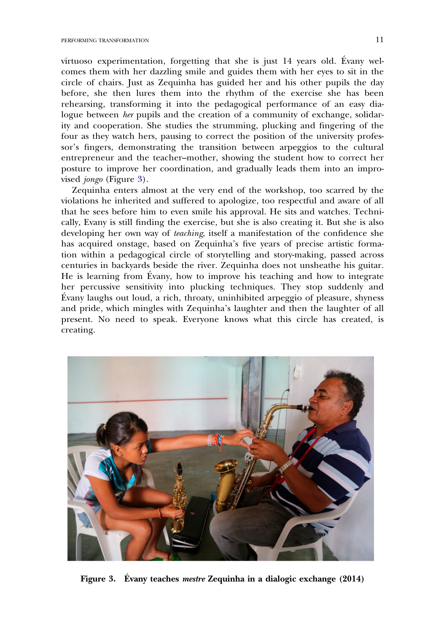virtuoso experimentation, forgetting that she is just  $14$  years old. Evany welcomes them with her dazzling smile and guides them with her eyes to sit in the circle of chairs. Just as Zequinha has guided her and his other pupils the day before, she then lures them into the rhythm of the exercise she has been rehearsing, transforming it into the pedagogical performance of an easy dialogue between her pupils and the creation of a community of exchange, solidarity and cooperation. She studies the strumming, plucking and fingering of the four as they watch hers, pausing to correct the position of the university professor's fingers, demonstrating the transition between arpeggios to the cultural entrepreneur and the teacher–mother, showing the student how to correct her posture to improve her coordination, and gradually leads them into an improvised jongo (Figure 3).

Zequinha enters almost at the very end of the workshop, too scarred by the violations he inherited and suffered to apologize, too respectful and aware of all that he sees before him to even smile his approval. He sits and watches. Technically, Evany is still finding the exercise, but she is also creating it. But she is also developing her own way of teaching, itself a manifestation of the confidence she has acquired onstage, based on Zequinha's five years of precise artistic formation within a pedagogical circle of storytelling and story-making, passed across centuries in backyards beside the river. Zequinha does not unsheathe his guitar. He is learning from Évany, how to improve his teaching and how to integrate her percussive sensitivity into plucking techniques. They stop suddenly and Évany laughs out loud, a rich, throaty, uninhibited arpeggio of pleasure, shyness and pride, which mingles with Zequinha's laughter and then the laughter of all present. No need to speak. Everyone knows what this circle has created, is creating.



Figure 3. Evany teaches mestre Zequinha in a dialogic exchange (2014)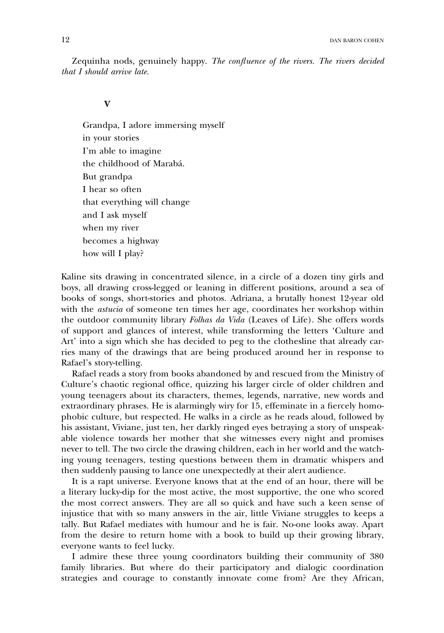Zequinha nods, genuinely happy. The confluence of the rivers. The rivers decided that I should arrive late.

#### V

Grandpa, I adore immersing myself in your stories I'm able to imagine the childhood of Marabá. But grandpa I hear so often that everything will change and I ask myself when my river becomes a highway how will I play?

Kaline sits drawing in concentrated silence, in a circle of a dozen tiny girls and boys, all drawing cross-legged or leaning in different positions, around a sea of books of songs, short-stories and photos. Adriana, a brutally honest 12-year old with the *astucia* of someone ten times her age, coordinates her workshop within the outdoor community library Folhas da Vida (Leaves of Life). She offers words of support and glances of interest, while transforming the letters 'Culture and Art' into a sign which she has decided to peg to the clothesline that already carries many of the drawings that are being produced around her in response to Rafael's story-telling.

Rafael reads a story from books abandoned by and rescued from the Ministry of Culture's chaotic regional office, quizzing his larger circle of older children and young teenagers about its characters, themes, legends, narrative, new words and extraordinary phrases. He is alarmingly wiry for 15, effeminate in a fiercely homophobic culture, but respected. He walks in a circle as he reads aloud, followed by his assistant, Viviane, just ten, her darkly ringed eyes betraying a story of unspeakable violence towards her mother that she witnesses every night and promises never to tell. The two circle the drawing children, each in her world and the watching young teenagers, testing questions between them in dramatic whispers and then suddenly pausing to lance one unexpectedly at their alert audience.

It is a rapt universe. Everyone knows that at the end of an hour, there will be a literary lucky-dip for the most active, the most supportive, the one who scored the most correct answers. They are all so quick and have such a keen sense of injustice that with so many answers in the air, little Viviane struggles to keeps a tally. But Rafael mediates with humour and he is fair. No-one looks away. Apart from the desire to return home with a book to build up their growing library, everyone wants to feel lucky.

I admire these three young coordinators building their community of 380 family libraries. But where do their participatory and dialogic coordination strategies and courage to constantly innovate come from? Are they African,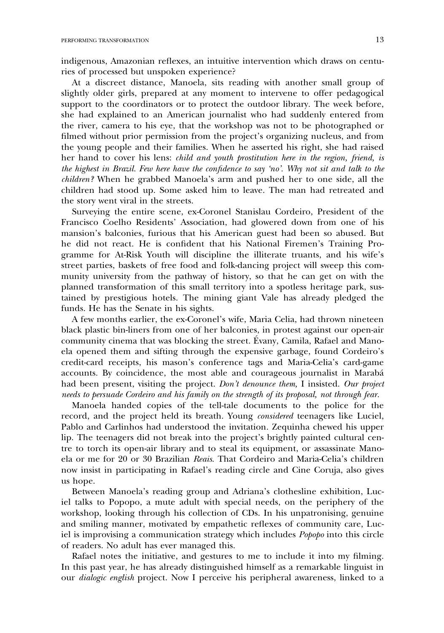indigenous, Amazonian reflexes, an intuitive intervention which draws on centuries of processed but unspoken experience?

At a discreet distance, Manoela, sits reading with another small group of slightly older girls, prepared at any moment to intervene to offer pedagogical support to the coordinators or to protect the outdoor library. The week before, she had explained to an American journalist who had suddenly entered from the river, camera to his eye, that the workshop was not to be photographed or filmed without prior permission from the project's organizing nucleus, and from the young people and their families. When he asserted his right, she had raised her hand to cover his lens: child and youth prostitution here in the region, friend, is the highest in Brazil. Few here have the confidence to say 'no'. Why not sit and talk to the children? When he grabbed Manoela's arm and pushed her to one side, all the children had stood up. Some asked him to leave. The man had retreated and the story went viral in the streets.

Surveying the entire scene, ex-Coronel Stanislau Cordeiro, President of the Francisco Coelho Residents' Association, had glowered down from one of his mansion's balconies, furious that his American guest had been so abused. But he did not react. He is confident that his National Firemen's Training Programme for At-Risk Youth will discipline the illiterate truants, and his wife's street parties, baskets of free food and folk-dancing project will sweep this community university from the pathway of history, so that he can get on with the planned transformation of this small territory into a spotless heritage park, sustained by prestigious hotels. The mining giant Vale has already pledged the funds. He has the Senate in his sights.

A few months earlier, the ex-Coronel's wife, Maria Celia, had thrown nineteen black plastic bin-liners from one of her balconies, in protest against our open-air community cinema that was blocking the street. Evany, Camila, Rafael and Manoela opened them and sifting through the expensive garbage, found Cordeiro's credit-card receipts, his mason's conference tags and Maria-Celia's card-game accounts. By coincidence, the most able and courageous journalist in Maraba´ had been present, visiting the project. Don't denounce them, I insisted. Our project needs to persuade Cordeiro and his family on the strength of its proposal, not through fear.

Manoela handed copies of the tell-tale documents to the police for the record, and the project held its breath. Young considered teenagers like Luciel, Pablo and Carlinhos had understood the invitation. Zequinha chewed his upper lip. The teenagers did not break into the project's brightly painted cultural centre to torch its open-air library and to steal its equipment, or assassinate Manoela or me for 20 or 30 Brazilian Reais. That Cordeiro and Maria-Celia's children now insist in participating in Rafael's reading circle and Cine Coruja, also gives us hope.

Between Manoela's reading group and Adriana's clothesline exhibition, Luciel talks to Popopo, a mute adult with special needs, on the periphery of the workshop, looking through his collection of CDs. In his unpatronising, genuine and smiling manner, motivated by empathetic reflexes of community care, Luciel is improvising a communication strategy which includes Popopo into this circle of readers. No adult has ever managed this.

Rafael notes the initiative, and gestures to me to include it into my filming. In this past year, he has already distinguished himself as a remarkable linguist in our dialogic english project. Now I perceive his peripheral awareness, linked to a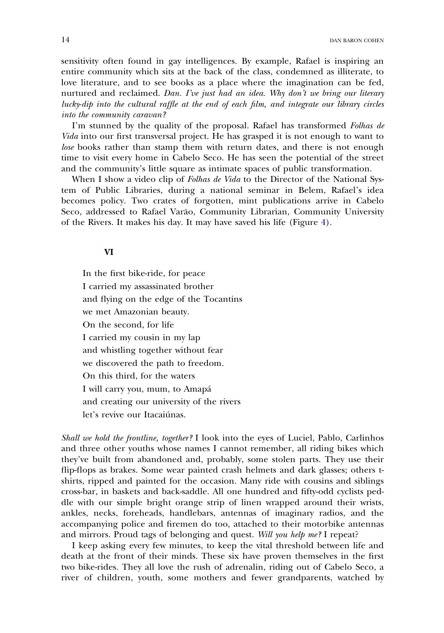sensitivity often found in gay intelligences. By example, Rafael is inspiring an entire community which sits at the back of the class, condemned as illiterate, to love literature, and to see books as a place where the imagination can be fed, nurtured and reclaimed. Dan. I've just had an idea. Why don't we bring our literary lucky-dip into the cultural raffle at the end of each film, and integrate our library circles into the community caravan?

I'm stunned by the quality of the proposal. Rafael has transformed Folhas de Vida into our first transversal project. He has grasped it is not enough to want to lose books rather than stamp them with return dates, and there is not enough time to visit every home in Cabelo Seco. He has seen the potential of the street and the community's little square as intimate spaces of public transformation.

When I show a video clip of Folhas de Vida to the Director of the National System of Public Libraries, during a national seminar in Belem, Rafael's idea becomes policy. Two crates of forgotten, mint publications arrive in Cabelo Seco, addressed to Rafael Varão, Community Librarian, Community University of the Rivers. It makes his day. It may have saved his life (Figure [4](#page-14-0)).

### VI

In the first bike-ride, for peace I carried my assassinated brother and flying on the edge of the Tocantins we met Amazonian beauty. On the second, for life I carried my cousin in my lap and whistling together without fear we discovered the path to freedom. On this third, for the waters I will carry you, mum, to Amapa´ and creating our university of the rivers let's revive our Itacaiúnas.

Shall we hold the frontline, together? I look into the eyes of Luciel, Pablo, Carlinhos and three other youths whose names I cannot remember, all riding bikes which they've built from abandoned and, probably, some stolen parts. They use their flip-flops as brakes. Some wear painted crash helmets and dark glasses; others tshirts, ripped and painted for the occasion. Many ride with cousins and siblings cross-bar, in baskets and back-saddle. All one hundred and fifty-odd cyclists peddle with our simple bright orange strip of linen wrapped around their wrists, ankles, necks, foreheads, handlebars, antennas of imaginary radios, and the accompanying police and firemen do too, attached to their motorbike antennas and mirrors. Proud tags of belonging and quest. Will you help me? I repeat?

I keep asking every few minutes, to keep the vital threshold between life and death at the front of their minds. These six have proven themselves in the first two bike-rides. They all love the rush of adrenalin, riding out of Cabelo Seco, a river of children, youth, some mothers and fewer grandparents, watched by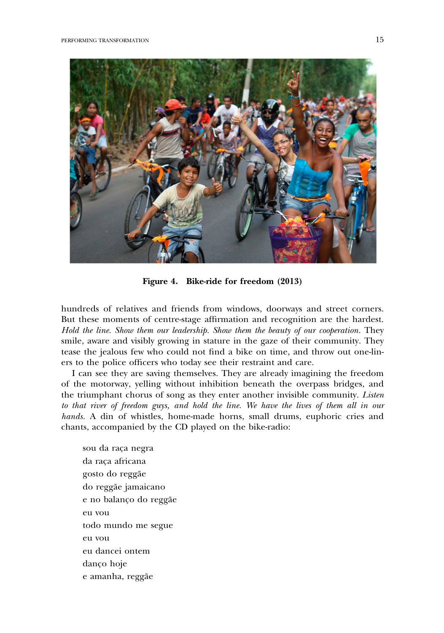<span id="page-14-0"></span>

Figure 4. Bike-ride for freedom (2013)

hundreds of relatives and friends from windows, doorways and street corners. But these moments of centre-stage affirmation and recognition are the hardest. Hold the line. Show them our leadership. Show them the beauty of our cooperation. They smile, aware and visibly growing in stature in the gaze of their community. They tease the jealous few who could not find a bike on time, and throw out one-liners to the police officers who today see their restraint and care.

I can see they are saving themselves. They are already imagining the freedom of the motorway, yelling without inhibition beneath the overpass bridges, and the triumphant chorus of song as they enter another invisible community. Listen to that river of freedom guys, and hold the line. We have the lives of them all in our hands. A din of whistles, home-made horns, small drums, euphoric cries and chants, accompanied by the CD played on the bike-radio:

sou da raca negra da raça africana gosto do reggãe do reggãe jamaicano e no balanço do reggãe eu vou todo mundo me segue eu vou eu dancei ontem danço hoje e amanha, reggäe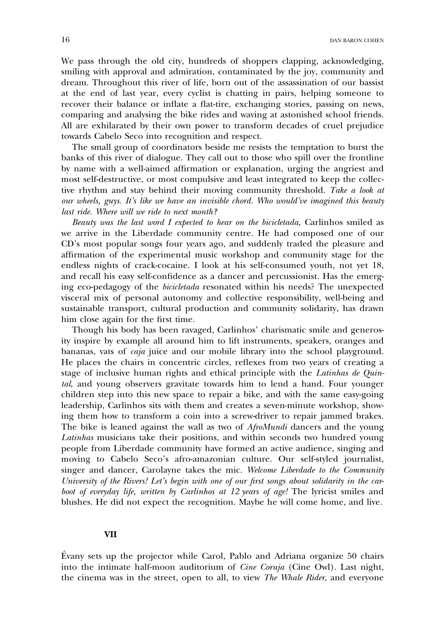We pass through the old city, hundreds of shoppers clapping, acknowledging, smiling with approval and admiration, contaminated by the joy, community and dream. Throughout this river of life, born out of the assassination of our bassist at the end of last year, every cyclist is chatting in pairs, helping someone to recover their balance or inflate a flat-tire, exchanging stories, passing on news, comparing and analysing the bike rides and waving at astonished school friends. All are exhilarated by their own power to transform decades of cruel prejudice towards Cabelo Seco into recognition and respect.

The small group of coordinators beside me resists the temptation to burst the banks of this river of dialogue. They call out to those who spill over the frontline by name with a well-aimed affirmation or explanation, urging the angriest and most self-destructive, or most compulsive and least integrated to keep the collective rhythm and stay behind their moving community threshold. Take a look at our wheels, guys. It's like we have an invisible chord. Who would've imagined this beauty last ride. Where will we ride to next month?

Beauty was the last word I expected to hear on the bicicletada, Carlinhos smiled as we arrive in the Liberdade community centre. He had composed one of our CD's most popular songs four years ago, and suddenly traded the pleasure and affirmation of the experimental music workshop and community stage for the endless nights of crack-cocaine. I look at his self-consumed youth, not yet 18, and recall his easy self-confidence as a dancer and percussionist. Has the emerging eco-pedagogy of the bicicletada resonated within his needs? The unexpected visceral mix of personal autonomy and collective responsibility, well-being and sustainable transport, cultural production and community solidarity, has drawn him close again for the first time.

Though his body has been ravaged, Carlinhos' charismatic smile and generosity inspire by example all around him to lift instruments, speakers, oranges and bananas, vats of caja juice and our mobile library into the school playground. He places the chairs in concentric circles, reflexes from two years of creating a stage of inclusive human rights and ethical principle with the *Latinhas de Quin*tal, and young observers gravitate towards him to lend a hand. Four younger children step into this new space to repair a bike, and with the same easy-going leadership, Carlinhos sits with them and creates a seven-minute workshop, showing them how to transform a coin into a screw-driver to repair jammed brakes. The bike is leaned against the wall as two of AfroMundi dancers and the young Latinhas musicians take their positions, and within seconds two hundred young people from Liberdade community have formed an active audience, singing and moving to Cabelo Seco's afro-amazonian culture. Our self-styled journalist, singer and dancer, Carolayne takes the mic. Welcome Liberdade to the Community University of the Rivers! Let's begin with one of our first songs about solidarity in the carboot of everyday life, written by Carlinhos at 12 years of age! The lyricist smiles and blushes. He did not expect the recognition. Maybe he will come home, and live.

#### VII

Évany sets up the projector while Carol, Pablo and Adriana organize 50 chairs into the intimate half-moon auditorium of Cine Coruja (Cine Owl). Last night, the cinema was in the street, open to all, to view The Whale Rider, and everyone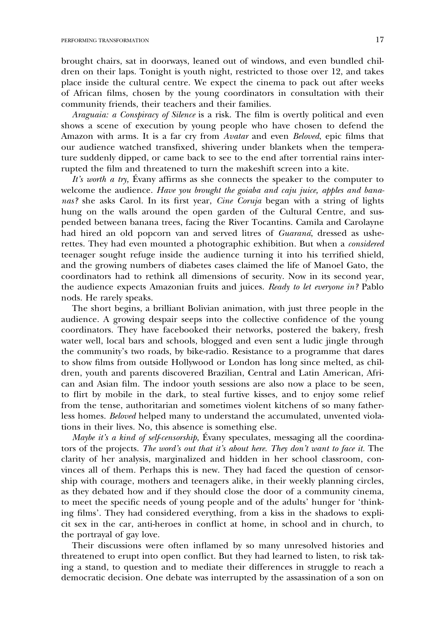brought chairs, sat in doorways, leaned out of windows, and even bundled children on their laps. Tonight is youth night, restricted to those over 12, and takes place inside the cultural centre. We expect the cinema to pack out after weeks of African films, chosen by the young coordinators in consultation with their community friends, their teachers and their families.

Araguaia: a Conspiracy of Silence is a risk. The film is overtly political and even shows a scene of execution by young people who have chosen to defend the Amazon with arms. It is a far cry from Avatar and even Beloved, epic films that our audience watched transfixed, shivering under blankets when the temperature suddenly dipped, or came back to see to the end after torrential rains interrupted the film and threatened to turn the makeshift screen into a kite.

It's worth a try, Évany affirms as she connects the speaker to the computer to welcome the audience. Have you brought the goiaba and caju juice, apples and bananas? she asks Carol. In its first year, *Cine Coruja* began with a string of lights hung on the walls around the open garden of the Cultural Centre, and suspended between banana trees, facing the River Tocantins. Camila and Carolayne had hired an old popcorn van and served litres of *Guaraná*, dressed as usherettes. They had even mounted a photographic exhibition. But when a considered teenager sought refuge inside the audience turning it into his terrified shield, and the growing numbers of diabetes cases claimed the life of Manoel Gato, the coordinators had to rethink all dimensions of security. Now in its second year, the audience expects Amazonian fruits and juices. Ready to let everyone in? Pablo nods. He rarely speaks.

The short begins, a brilliant Bolivian animation, with just three people in the audience. A growing despair seeps into the collective confidence of the young coordinators. They have facebooked their networks, postered the bakery, fresh water well, local bars and schools, blogged and even sent a ludic jingle through the community's two roads, by bike-radio. Resistance to a programme that dares to show films from outside Hollywood or London has long since melted, as children, youth and parents discovered Brazilian, Central and Latin American, African and Asian film. The indoor youth sessions are also now a place to be seen, to flirt by mobile in the dark, to steal furtive kisses, and to enjoy some relief from the tense, authoritarian and sometimes violent kitchens of so many fatherless homes. Beloved helped many to understand the accumulated, unvented violations in their lives. No, this absence is something else.

Maybe it's a kind of self-censorship, Evany speculates, messaging all the coordinators of the projects. The word's out that it's about here. They don't want to face it. The clarity of her analysis, marginalized and hidden in her school classroom, convinces all of them. Perhaps this is new. They had faced the question of censorship with courage, mothers and teenagers alike, in their weekly planning circles, as they debated how and if they should close the door of a community cinema, to meet the specific needs of young people and of the adults' hunger for 'thinking films'. They had considered everything, from a kiss in the shadows to explicit sex in the car, anti-heroes in conflict at home, in school and in church, to the portrayal of gay love.

Their discussions were often inflamed by so many unresolved histories and threatened to erupt into open conflict. But they had learned to listen, to risk taking a stand, to question and to mediate their differences in struggle to reach a democratic decision. One debate was interrupted by the assassination of a son on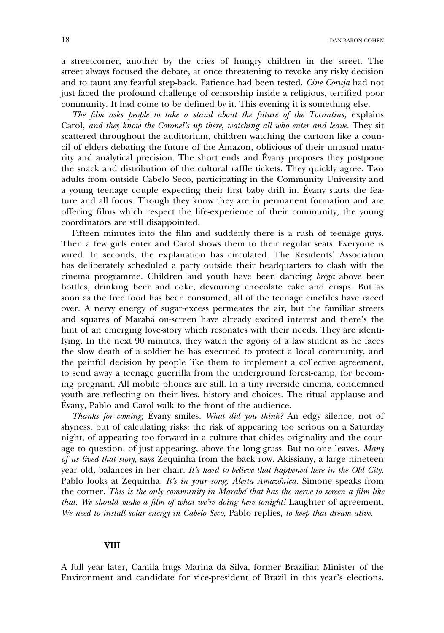a streetcorner, another by the cries of hungry children in the street. The street always focused the debate, at once threatening to revoke any risky decision and to taunt any fearful step-back. Patience had been tested. Cine Coruja had not just faced the profound challenge of censorship inside a religious, terrified poor community. It had come to be defined by it. This evening it is something else.

The film asks people to take a stand about the future of the Tocantins, explains Carol, and they know the Coronel's up there, watching all who enter and leave. They sit scattered throughout the auditorium, children watching the cartoon like a council of elders debating the future of the Amazon, oblivious of their unusual maturity and analytical precision. The short ends and Evany proposes they postpone the snack and distribution of the cultural raffle tickets. They quickly agree. Two adults from outside Cabelo Seco, participating in the Community University and a young teenage couple expecting their first baby drift in. Evany starts the feature and all focus. Though they know they are in permanent formation and are offering films which respect the life-experience of their community, the young coordinators are still disappointed.

Fifteen minutes into the film and suddenly there is a rush of teenage guys. Then a few girls enter and Carol shows them to their regular seats. Everyone is wired. In seconds, the explanation has circulated. The Residents' Association has deliberately scheduled a party outside their headquarters to clash with the cinema programme. Children and youth have been dancing brega above beer bottles, drinking beer and coke, devouring chocolate cake and crisps. But as soon as the free food has been consumed, all of the teenage cinefiles have raced over. A nervy energy of sugar-excess permeates the air, but the familiar streets and squares of Maraba´ on-screen have already excited interest and there's the hint of an emerging love-story which resonates with their needs. They are identifying. In the next 90 minutes, they watch the agony of a law student as he faces the slow death of a soldier he has executed to protect a local community, and the painful decision by people like them to implement a collective agreement, to send away a teenage guerrilla from the underground forest-camp, for becoming pregnant. All mobile phones are still. In a tiny riverside cinema, condemned youth are reflecting on their lives, history and choices. The ritual applause and Évany, Pablo and Carol walk to the front of the audience.

Thanks for coming, Evany smiles. What did you think? An edgy silence, not of shyness, but of calculating risks: the risk of appearing too serious on a Saturday night, of appearing too forward in a culture that chides originality and the courage to question, of just appearing, above the long-grass. But no-one leaves. Many of us lived that story, says Zequinha from the back row. Akissiany, a large nineteen year old, balances in her chair. It's hard to believe that happened here in the Old City. Pablo looks at Zequinha. It's in your song, Alerta Amazônica. Simone speaks from the corner. This is the only community in Maraba´ that has the nerve to screen a film like that. We should make a film of what we're doing here tonight! Laughter of agreement. We need to install solar energy in Cabelo Seco, Pablo replies, to keep that dream alive.

## VIII

A full year later, Camila hugs Marina da Silva, former Brazilian Minister of the Environment and candidate for vice-president of Brazil in this year's elections.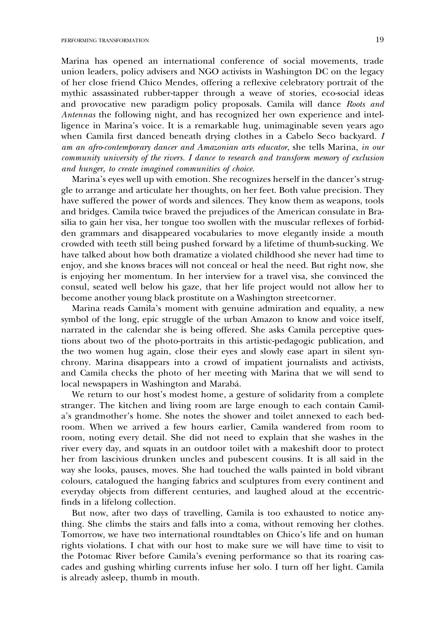Marina has opened an international conference of social movements, trade union leaders, policy advisers and NGO activists in Washington DC on the legacy of her close friend Chico Mendes, offering a reflexive celebratory portrait of the mythic assassinated rubber-tapper through a weave of stories, eco-social ideas and provocative new paradigm policy proposals. Camila will dance Roots and Antennas the following night, and has recognized her own experience and intelligence in Marina's voice. It is a remarkable hug, unimaginable seven years ago when Camila first danced beneath drying clothes in a Cabelo Seco backyard. I am an afro-contemporary dancer and Amazonian arts educator, she tells Marina, in our community university of the rivers. I dance to research and transform memory of exclusion and hunger, to create imagined communities of choice.

Marina's eyes well up with emotion. She recognizes herself in the dancer's struggle to arrange and articulate her thoughts, on her feet. Both value precision. They have suffered the power of words and silences. They know them as weapons, tools and bridges. Camila twice braved the prejudices of the American consulate in Brasilia to gain her visa, her tongue too swollen with the muscular reflexes of forbidden grammars and disappeared vocabularies to move elegantly inside a mouth crowded with teeth still being pushed forward by a lifetime of thumb-sucking. We have talked about how both dramatize a violated childhood she never had time to enjoy, and she knows braces will not conceal or heal the need. But right now, she is enjoying her momentum. In her interview for a travel visa, she convinced the consul, seated well below his gaze, that her life project would not allow her to become another young black prostitute on a Washington streetcorner.

Marina reads Camila's moment with genuine admiration and equality, a new symbol of the long, epic struggle of the urban Amazon to know and voice itself, narrated in the calendar she is being offered. She asks Camila perceptive questions about two of the photo-portraits in this artistic-pedagogic publication, and the two women hug again, close their eyes and slowly ease apart in silent synchrony. Marina disappears into a crowd of impatient journalists and activists, and Camila checks the photo of her meeting with Marina that we will send to local newspapers in Washington and Marabá.

We return to our host's modest home, a gesture of solidarity from a complete stranger. The kitchen and living room are large enough to each contain Camila's grandmother's home. She notes the shower and toilet annexed to each bedroom. When we arrived a few hours earlier, Camila wandered from room to room, noting every detail. She did not need to explain that she washes in the river every day, and squats in an outdoor toilet with a makeshift door to protect her from lascivious drunken uncles and pubescent cousins. It is all said in the way she looks, pauses, moves. She had touched the walls painted in bold vibrant colours, catalogued the hanging fabrics and sculptures from every continent and everyday objects from different centuries, and laughed aloud at the eccentricfinds in a lifelong collection.

But now, after two days of travelling, Camila is too exhausted to notice anything. She climbs the stairs and falls into a coma, without removing her clothes. Tomorrow, we have two international roundtables on Chico's life and on human rights violations. I chat with our host to make sure we will have time to visit to the Potomac River before Camila's evening performance so that its roaring cascades and gushing whirling currents infuse her solo. I turn off her light. Camila is already asleep, thumb in mouth.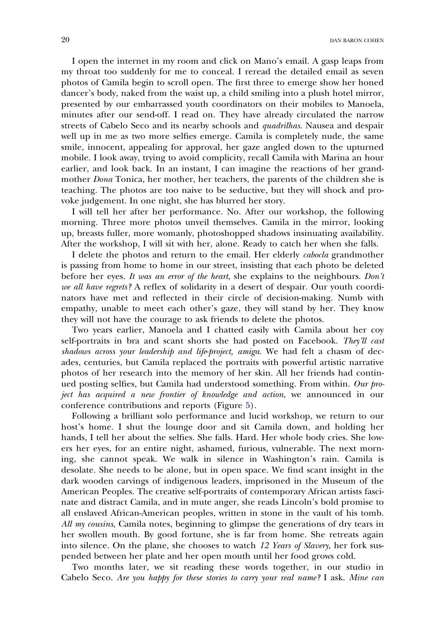I open the internet in my room and click on Mano's email. A gasp leaps from my throat too suddenly for me to conceal. I reread the detailed email as seven photos of Camila begin to scroll open. The first three to emerge show her honed dancer's body, naked from the waist up, a child smiling into a plush hotel mirror, presented by our embarrassed youth coordinators on their mobiles to Manoela, minutes after our send-off. I read on. They have already circulated the narrow streets of Cabelo Seco and its nearby schools and *quadrilhas*. Nausea and despair well up in me as two more selfies emerge. Camila is completely nude, the same smile, innocent, appealing for approval, her gaze angled down to the upturned mobile. I look away, trying to avoid complicity, recall Camila with Marina an hour earlier, and look back. In an instant, I can imagine the reactions of her grandmother Dona Tonica, her mother, her teachers, the parents of the children she is teaching. The photos are too naive to be seductive, but they will shock and provoke judgement. In one night, she has blurred her story.

I will tell her after her performance. No. After our workshop, the following morning. Three more photos unveil themselves. Camila in the mirror, looking up, breasts fuller, more womanly, photoshopped shadows insinuating availability. After the workshop, I will sit with her, alone. Ready to catch her when she falls.

I delete the photos and return to the email. Her elderly cabocla grandmother is passing from home to home in our street, insisting that each photo be deleted before her eyes. It was an error of the heart, she explains to the neighbours. Don't we all have regrets? A reflex of solidarity in a desert of despair. Our youth coordinators have met and reflected in their circle of decision-making. Numb with empathy, unable to meet each other's gaze, they will stand by her. They know they will not have the courage to ask friends to delete the photos.

Two years earlier, Manoela and I chatted easily with Camila about her coy self-portraits in bra and scant shorts she had posted on Facebook. They'll cast shadows across your leadership and life-project, amiga. We had felt a chasm of decades, centuries, but Camila replaced the portraits with powerful artistic narrative photos of her research into the memory of her skin. All her friends had continued posting selfies, but Camila had understood something. From within. Our project has acquired a new frontier of knowledge and action, we announced in our conference contributions and reports (Figure [5](#page-20-0)).

Following a brilliant solo performance and lucid workshop, we return to our host's home. I shut the lounge door and sit Camila down, and holding her hands, I tell her about the selfies. She falls. Hard. Her whole body cries. She lowers her eyes, for an entire night, ashamed, furious, vulnerable. The next morning, she cannot speak. We walk in silence in Washington's rain. Camila is desolate. She needs to be alone, but in open space. We find scant insight in the dark wooden carvings of indigenous leaders, imprisoned in the Museum of the American Peoples. The creative self-portraits of contemporary African artists fascinate and distract Camila, and in mute anger, she reads Lincoln's bold promise to all enslaved African-American peoples, written in stone in the vault of his tomb. All my cousins, Camila notes, beginning to glimpse the generations of dry tears in her swollen mouth. By good fortune, she is far from home. She retreats again into silence. On the plane, she chooses to watch 12 Years of Slavery, her fork suspended between her plate and her open mouth until her food grows cold.

Two months later, we sit reading these words together, in our studio in Cabelo Seco. Are you happy for these stories to carry your real name? I ask. Mine can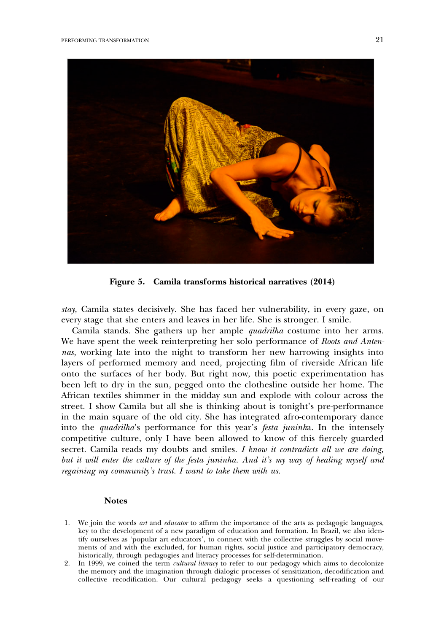<span id="page-20-0"></span>

Figure 5. Camila transforms historical narratives (2014)

stay, Camila states decisively. She has faced her vulnerability, in every gaze, on every stage that she enters and leaves in her life. She is stronger. I smile.

Camila stands. She gathers up her ample quadrilha costume into her arms. We have spent the week reinterpreting her solo performance of Roots and Antennas, working late into the night to transform her new harrowing insights into layers of performed memory and need, projecting film of riverside African life onto the surfaces of her body. But right now, this poetic experimentation has been left to dry in the sun, pegged onto the clothesline outside her home. The African textiles shimmer in the midday sun and explode with colour across the street. I show Camila but all she is thinking about is tonight's pre-performance in the main square of the old city. She has integrated afro-contemporary dance into the quadrilha's performance for this year's *festa juninha*. In the intensely competitive culture, only I have been allowed to know of this fiercely guarded secret. Camila reads my doubts and smiles. I know it contradicts all we are doing, but it will enter the culture of the festa juninha. And it's my way of healing myself and regaining my community's trust. I want to take them with us.

#### **Notes**

- 1. We join the words *art* and *educator* to affirm the importance of the arts as pedagogic languages, key to the development of a new paradigm of education and formation. In Brazil, we also identify ourselves as 'popular art educators', to connect with the collective struggles by social movements of and with the excluded, for human rights, social justice and participatory democracy, historically, through pedagogies and literacy processes for self-determination.
- 2. In 1999, we coined the term cultural literacy to refer to our pedagogy which aims to decolonize the memory and the imagination through dialogic processes of sensitization, decodification and collective recodification. Our cultural pedagogy seeks a questioning self-reading of our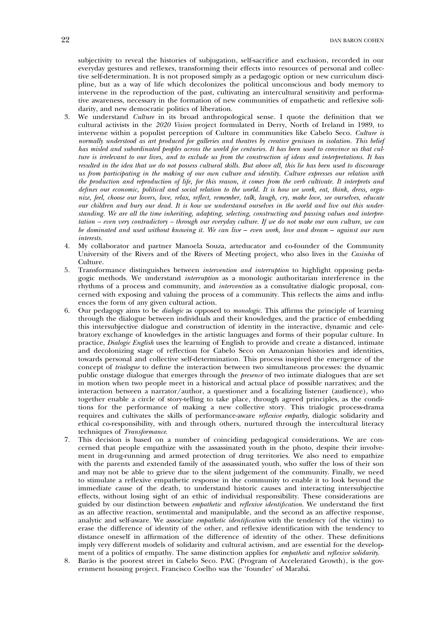<span id="page-21-0"></span>subjectivity to reveal the histories of subjugation, self-sacrifice and exclusion, recorded in our everyday gestures and reflexes, transforming their effects into resources of personal and collective self-determination. It is not proposed simply as a pedagogic option or new curriculum discipline, but as a way of life which decolonizes the political unconscious and body memory to intervene in the reproduction of the past, cultivating an intercultural sensitivity and performative awareness, necessary in the formation of new communities of empathetic and reflexive solidarity, and new democratic politics of liberation.

- 3. We understand Culture in its broad anthropological sense. I quote the definition that we cultural activists in the 2020 Vision project formulated in Derry, North of Ireland in 1989, to intervene within a populist perception of Culture in communities like Cabelo Seco. Culture is normally understood as art produced for galleries and theatres by creative geniuses in isolation. This belief has misled and subordinated peoples across the world for centuries. It has been used to convince us that culture is irrelevant to our lives, and to exclude us from the construction of ideas and interpretations. It has resulted in the idea that we do not possess cultural skills. But above all, this lie has been used to discourage us from participating in the making of our own culture and identity. Culture expresses our relation with the production and reproduction of life, for this reason, it comes from the verb cultivate. It interprets and defines our economic, political and social relation to the world. It is how we work, eat, think, dress, organize, feel, choose our lovers, love, relax, reflect, remember, talk, laugh, cry, make love, see ourselves, educate our children and bury our dead. It is how we understand ourselves in the world and live out this understanding. We are all the time inheriting, adapting, selecting, constructing and passing values and interpretation – even very contradictory – through our everyday culture. If we do not make our own culture, we can be dominated and used without knowing it. We can live – even work, love and dream – against our own interests.
- 4. My collaborator and partner Manoela Souza, arteducator and co-founder of the Community University of the Rivers and of the Rivers of Meeting project, who also lives in the Casinha of Culture.
- 5. Transformance distinguishes between intervention and interruption to highlight opposing pedagogic methods. We understand interruption as a monologic authoritarian interference in the rhythms of a process and community, and intervention as a consultative dialogic proposal, concerned with exposing and valuing the process of a community. This reflects the aims and influences the form of any given cultural action.
- 6. Our pedagogy aims to be dialogic as opposed to monologic. This affirms the principle of learning through the dialogue between individuals and their knowledges, and the practice of embedding this intersubjective dialogue and construction of identity in the interactive, dynamic and celebratory exchange of knowledges in the artistic languages and forms of their popular culture. In practice, Dialogic English uses the learning of English to provide and create a distanced, intimate and decolonizing stage of reflection for Cabelo Seco on Amazonian histories and identities, towards personal and collective self-determination. This process inspired the emergence of the concept of trialogue to define the interaction between two simultaneous processes: the dynamic public onstage dialogue that emerges through the *presence* of two intimate dialogues that are set in motion when two people meet in a historical and actual place of possible narratives; and the interaction between a narrator/author, a questioner and a focalizing listener (audience), who together enable a circle of story-telling to take place, through agreed principles, as the conditions for the performance of making a new collective story. This trialogic process-drama requires and cultivates the skills of performance-aware *reflexive embathy*, dialogic solidarity and ethical co-responsibility, with and through others, nurtured through the intercultural literacy techniques of Transformance.
- 7. This decision is based on a number of coinciding pedagogical considerations. We are concerned that people empathize with the assassinated youth in the photo, despite their involvement in drug-running and armed protection of drug territories. We also need to empathize with the parents and extended family of the assassinated youth, who suffer the loss of their son and may not be able to grieve due to the silent judgement of the community. Finally, we need to stimulate a reflexive empathetic response in the community to enable it to look beyond the immediate cause of the death, to understand historic causes and interacting intersubjective effects, without losing sight of an ethic of individual responsibility. These considerations are guided by our distinction between *empathetic* and *reflexive identification*. We understand the first as an affective reaction, sentimental and manipulable, and the second as an affective response, analytic and self-aware. We associate *empathetic identification* with the tendency (of the victim) to erase the difference of identity of the other, and reflexive identification with the tendency to distance oneself in affirmation of the difference of identity of the other. These definitions imply very different models of solidarity and cultural activism, and are essential for the development of a politics of empathy. The same distinction applies for *empathetic* and *reflexive solidarity*.
- Barão is the poorest street in Cabelo Seco. PAC (Program of Accelerated Growth), is the government housing project. Francisco Coelho was the 'founder' of Marabá.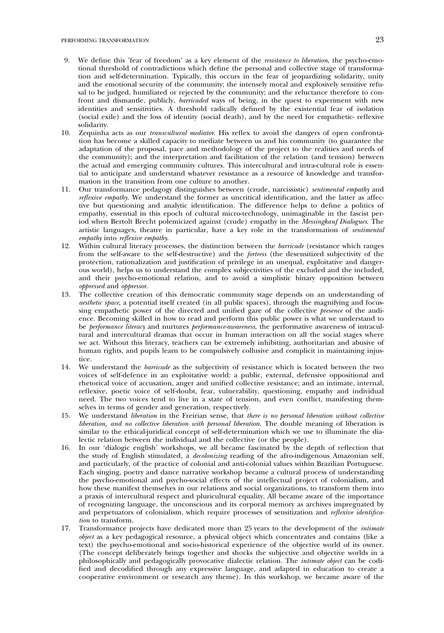- <span id="page-22-0"></span>9. We define this 'fear of freedom' as a key element of the resistance to liberation, the psycho-emotional threshold of contradictions which define the personal and collective stage of transformation and self-determination. Typically, this occurs in the fear of jeopardizing solidarity, unity and the emotional security of the community; the intensely moral and explosively sensitive refusal to be judged, humiliated or rejected by the community; and the reluctance therefore to confront and dismantle, publicly, *barricaded* ways of being, in the quest to experiment with new identities and sensitivities. A threshold radically defined by the existential fear of isolation (social exile) and the loss of identity (social death), and by the need for empathetic- reflexive solidarity.
- 10. Zequinha acts as our *transcultural mediator*. His reflex to avoid the dangers of open confrontation has become a skilled capacity to mediate between us and his community (to guarantee the adaptation of the proposal, pace and methodology of the project to the realities and needs of the community); and the interpretation and facilitation of the relation (and tension) between the actual and emerging community cultures. This intercultural and intra-cultural role is essential to anticipate and understand whatever resistance as a resource of knowledge and transformation in the transition from one culture to another.
- 11. Our transformance pedagogy distinguishes between (crude, narcissistic) sentimental empathy and reflexive empathy. We understand the former as uncritical identification, and the latter as affective but questioning and analytic identification. The difference helps to define a politics of empathy, essential in this epoch of cultural micro-technology, unimaginable in the fascist period when Bertolt Brecht polemicized against (crude) empathy in the *Messingkauf Dialogues*. The artistic languages, theatre in particular, have a key role in the transformation of sentimental empathy into reflexive empathy.
- 12. Within cultural literacy processes, the distinction between the barricade (resistance which ranges from the self-aware to the self-destructive) and the fortress (the desensitized subjectivity of the protection, rationalization and justification of privilege in an unequal, exploitative and dangerous world), helps us to understand the complex subjectivities of the excluded and the included, and their psycho-emotional relation, and to avoid a simplistic binary opposition between oppressed and oppressor.
- 13. The collective creation of this democratic community stage depends on an understanding of aesthetic space, a potential itself created (in all public spaces), through the magnifying and focussing empathetic power of the directed and unified gaze of the collective *presence* of the audience. Becoming skilled in how to read and perform this public power is what we understand to be performance literacy and nurtures performance-awareness, the performative awareness of intracultural and intercultural dramas that occur in human interaction on all the social stages where we act. Without this literacy, teachers can be extremely inhibiting, authoritarian and abusive of human rights, and pupils learn to be compulsively collusive and complicit in maintaining injustice.
- 14. We understand the *barricade* as the subjectivity of resistance which is located between the two voices of self-defence in an exploitative world: a public, external, defensive oppositional and rhetorical voice of accusation, anger and unified collective resistance; and an intimate, internal, reflexive, poetic voice of self-doubt, fear, vulnerability, questioning, empathy and individual need. The two voices tend to live in a state of tension, and even conflict, manifesting themselves in terms of gender and generation, respectively.
- 15. We understand liberation in the Freirian sense, that there is no personal liberation without collective liberation, and no collective liberation with personal liberation. The double meaning of liberation is similar to the ethical-juridical concept of self-determination which we use to illuminate the dialectic relation between the individual and the collective (or the people).
- 16. In our 'dialogic english' workshops, we all became fascinated by the depth of reflection that the study of English stimulated, a decolonizing reading of the afro-indigenous Amazonian self, and particularly, of the practice of colonial and anti-colonial values within Brazilian Portuguese. Each singing, poetry and dance narrative workshop became a cultural process of understanding the psycho-emotional and psycho-social effects of the intellectual project of colonialism, and how these manifest themselves in our relations and social organizations, to transform them into a praxis of intercultural respect and pluricultural equality. All became aware of the importance of recognizing language, the unconscious and its corporal memory as archives impregnated by and perpetuators of colonialism, which require processes of sensitization and reflexive identification to transform.
- 17. Transformance projects have dedicated more than 25 years to the development of the intimate object as a key pedagogical resource, a physical object which concentrates and contains (like a text) the psycho-emotional and socio-historical experience of the objective world of its owner. (The concept deliberately brings together and shocks the subjective and objective worlds in a philosophically and pedagogically provocative dialectic relation. The *intimate object* can be codified and decodified through any expressive language, and adapted in education to create a cooperative environment or research any theme). In this workshop, we became aware of the